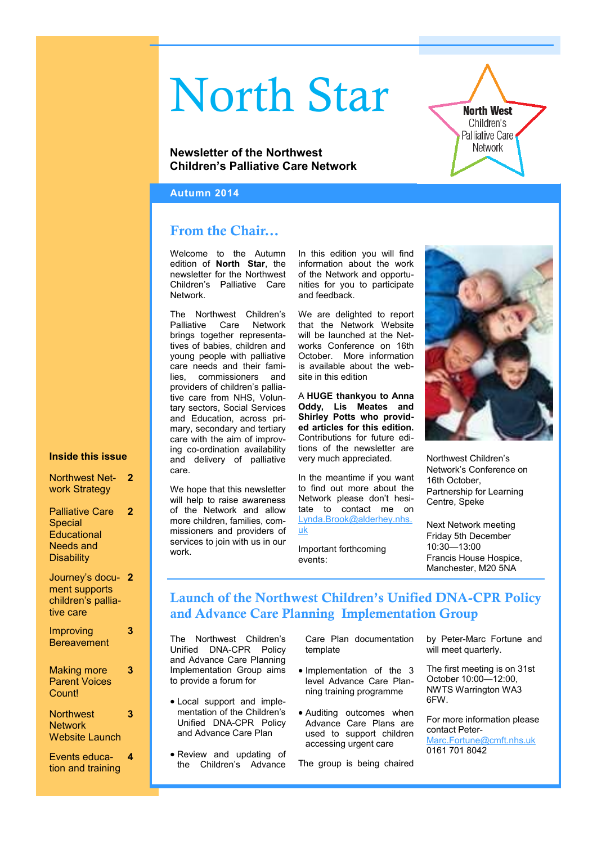# North Star

# **Newsletter of the Northwest Children's Palliative Care Network**

#### **Autumn 2014**

# **From the Chair...**

Welcome to the Autumn edition of **North Star**, the newsletter for the Northwest Children's Palliative Care Network.

The Northwest Children's Palliative Care Network brings together representatives of babies, children and young people with palliative care needs and their families, commissioners and providers of children's palliative care from NHS, Voluntary sectors, Social Services and Education, across primary, secondary and tertiary care with the aim of improving co-ordination availability and delivery of palliative care.

We hope that this newsletter will help to raise awareness of the Network and allow more children, families, commissioners and providers of services to join with us in our work.

In this edition you will find information about the work of the Network and opportunities for you to participate and feedback.

We are delighted to report that the Network Website will be launched at the Networks Conference on 16th October. More information is available about the website in this edition

A **HUGE thankyou to Anna Oddy, Lis Meates and Shirley Potts who provided articles for this edition.**  Contributions for future editions of the newsletter are very much appreciated.

In the meantime if you want to find out more about the Network please don't hesitate to contact me on Lynda.Brook@alderhey.nhs. uk

Important forthcoming events:



**North West** Children's Palliative Care Network

Northwest Children's Network's Conference on 16th October, Partnership for Learning Centre, Speke

Next Network meeting Friday 5th December 10:30—13:00 Francis House Hospice, Manchester, M20 5NA

# **Launch of the Northwest Children's Unified DNA-CPR Policy and Advance Care Planning Implementation Group**

The Northwest Children's Unified DNA-CPR Policy and Advance Care Planning Implementation Group aims to provide a forum for

- Local support and implementation of the Children's Unified DNA-CPR Policy and Advance Care Plan
- Review and updating of the Children's Advance

Care Plan documentation template

- Implementation of the 3 level Advance Care Planning training programme
- Auditing outcomes when Advance Care Plans are used to support children accessing urgent care

The group is being chaired

by Peter-Marc Fortune and will meet quarterly.

The first meeting is on 31st October 10:00—12:00, NWTS Warrington WA3 6FW.

For more information please contact Peter-Marc.Fortune@cmft.nhs.uk 0161 701 8042

# **Inside this issue**

| <b>Northwest Net-</b> | 2 |
|-----------------------|---|
| work Strategy         |   |

Palliative Care Special **Educational** Needs and **Disability 2**

| Journey's docu- 2  |  |
|--------------------|--|
| ment supports      |  |
| children's pallia- |  |
| tive care          |  |
|                    |  |

**3**

**3**

**3**

Improving **Bereavement** 

#### Making more Parent Voices Count!

**Northwest Network** Website Launch

Events education and training **4**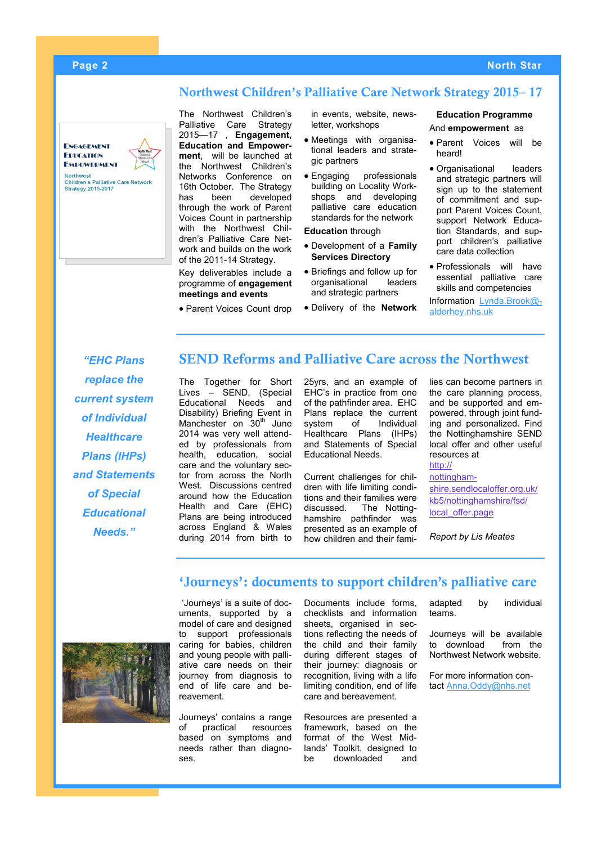#### **Page 2 North Star**

## **Northwest Children's Palliative Care Network Strategy 2015– 17**

**ENGAGEMENT EDUCATION FMDOWFDMENT** 

**Northwest** 



The Northwest Children's Palliative Care Strategy 2015—17 , **Engagement, Education and Empowerment**, will be launched at the Northwest Children's Networks Conference on 16th October. The Strategy has been developed through the work of Parent Voices Count in partnership with the Northwest Children's Palliative Care Network and builds on the work of the 2011-14 Strategy.

Key deliverables include a programme of **engagement meetings and events**

• Parent Voices Count drop

in events, website, newsletter, workshops

- Meetings with organisational leaders and strategic partners
- Engaging professionals building on Locality Workshops and developing palliative care education standards for the network

**Education** through

- Development of a **Family Services Directory**
- Briefings and follow up for organisational leaders and strategic partners
- Delivery of the **Network**

#### **Education Programme** And **empowerment** as

- Parent Voices will be heard!
- Organisational leaders and strategic partners will sign up to the statement of commitment and support Parent Voices Count, support Network Education Standards, and support children's palliative care data collection
- Professionals will have essential palliative care skills and competencies

Information Lynda.Brook@ alderhey.nhs.uk

*"EHC Plans replace the current system of Individual Healthcare Plans (IHPs) and Statements of Special Educational Needs."*

# **SEND Reforms and Palliative Care across the Northwest**

The Together for Short Lives – SEND, (Special Educational Needs and Disability) Briefing Event in Manchester on  $30<sup>th</sup>$  June 2014 was very well attended by professionals from health, education, social care and the voluntary sector from across the North West. Discussions centred around how the Education Health and Care (EHC) Plans are being introduced across England & Wales during 2014 from birth to

25yrs, and an example of EHC's in practice from one of the pathfinder area. EHC Plans replace the current<br>system of Individual system of Individual Healthcare Plans (IHPs) and Statements of Special Educational Needs.

Current challenges for children with life limiting conditions and their families were discussed. The Nottinghamshire pathfinder was presented as an example of how children and their families can become partners in the care planning process, and be supported and empowered, through joint funding and personalized. Find the Nottinghamshire SEND local offer and other useful resources at [http://](http://nottinghamshire.sendlocaloffer.org.uk/kb5/nottinghamshire/fsd/local_offer.page)

[nottingham](http://nottinghamshire.sendlocaloffer.org.uk/kb5/nottinghamshire/fsd/local_offer.page)[shire.sendlocaloffer.org.uk/](http://nottinghamshire.sendlocaloffer.org.uk/kb5/nottinghamshire/fsd/local_offer.page)

[kb5/nottinghamshire/fsd/](http://nottinghamshire.sendlocaloffer.org.uk/kb5/nottinghamshire/fsd/local_offer.page) local offer.page

*Report by Lis Meates*

‗Journeys' is a suite of documents, supported by a model of care and designed to support professionals caring for babies, children and young people with palliative care needs on their journey from diagnosis to end of life care and bereavement.

Journeys' contains a range of practical resources based on symptoms and needs rather than diagnoses.

Documents include forms, checklists and information sheets, organised in sections reflecting the needs of the child and their family during different stages of their journey: diagnosis or recognition, living with a life limiting condition, end of life care and bereavement.

**'Journeys': documents to support children's palliative care**

Resources are presented a framework, based on the format of the West Midlands' Toolkit, designed to be downloaded and

adapted by individual teams.

Journeys will be available to download from the Northwest Network website.

For more information contact Anna.Oddy@nhs.net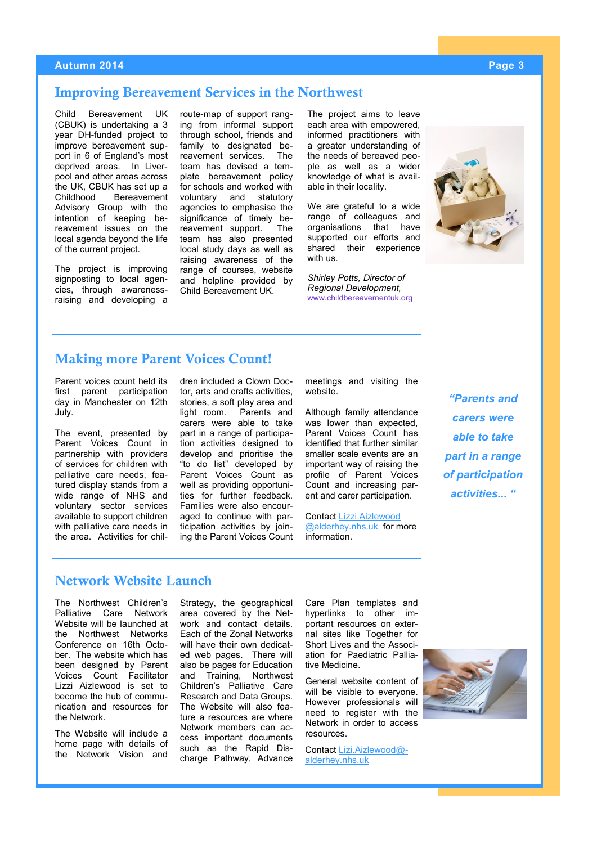#### **Autumn 2014 Page 3**

## **Improving Bereavement Services in the Northwest**

Child Bereavement UK (CBUK) is undertaking a 3 year DH-funded project to improve bereavement support in 6 of England's most deprived areas. In Liverpool and other areas across the UK, CBUK has set up a Childhood Bereavement Advisory Group with the intention of keeping bereavement issues on the local agenda beyond the life of the current project.

The project is improving signposting to local agencies, through awarenessraising and developing a

route-map of support ranging from informal support through school, friends and family to designated bereavement services. The team has devised a template bereavement policy for schools and worked with voluntary and statutory agencies to emphasise the significance of timely bereavement support. The team has also presented local study days as well as raising awareness of the range of courses, website and helpline provided by Child Bereavement UK.

The project aims to leave each area with empowered, informed practitioners with a greater understanding of the needs of bereaved people as well as a wider knowledge of what is available in their locality.

We are grateful to a wide range of colleagues and organisations that have supported our efforts and shared their experience with us.

*Shirley Potts, Director of Regional Development,*  [www.childbereavementuk.org](http://www.childbereavementuk.org)



# **Making more Parent Voices Count!**

Parent voices count held its first parent participation day in Manchester on 12th July.

The event, presented by Parent Voices Count in partnership with providers of services for children with palliative care needs, featured display stands from a wide range of NHS and voluntary sector services available to support children with palliative care needs in the area. Activities for children included a Clown Doctor, arts and crafts activities, stories, a soft play area and light room. Parents and carers were able to take part in a range of participation activities designed to develop and prioritise the "to do list" developed by Parent Voices Count as well as providing opportunities for further feedback. Families were also encouraged to continue with participation activities by joining the Parent Voices Count meetings and visiting the website.

Although family attendance was lower than expected, Parent Voices Count has identified that further similar smaller scale events are an important way of raising the profile of Parent Voices Count and increasing parent and carer participation.

Contact Lizzi.Aizlewood @alderhey.nhs.uk for more information.

*"Parents and carers were able to take part in a range of participation activities... "*

# **Network Website Launch**

The Northwest Children's Palliative Care Network Website will be launched at the Northwest Networks Conference on 16th October. The website which has been designed by Parent Voices Count Facilitator Lizzi Aizlewood is set to become the hub of communication and resources for the Network.

The Website will include a home page with details of the Network Vision and Strategy, the geographical area covered by the Network and contact details. Each of the Zonal Networks will have their own dedicated web pages. There will also be pages for Education and Training, Northwest Children's Palliative Care Research and Data Groups. The Website will also feature a resources are where Network members can access important documents such as the Rapid Discharge Pathway, Advance Care Plan templates and hyperlinks to other important resources on external sites like Together for Short Lives and the Association for Paediatric Palliative Medicine.

General website content of will be visible to everyone. However professionals will need to register with the Network in order to access resources.

Contact Lizi.Aizlewood@ alderhey.nhs.uk